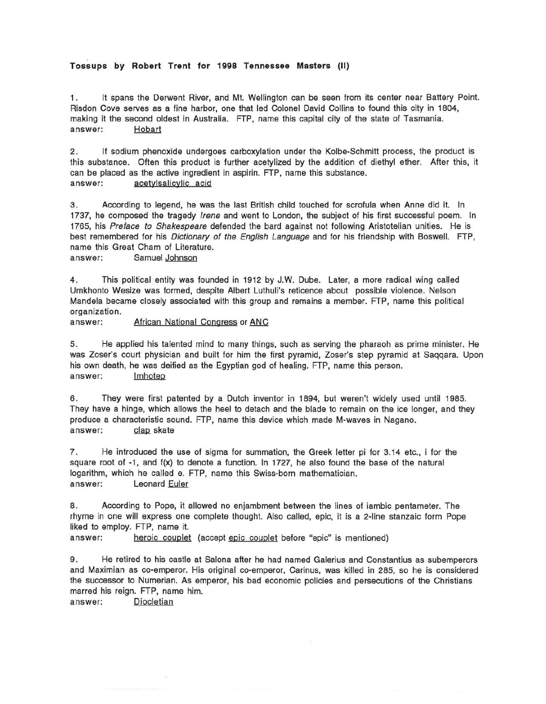## **Tossups by Robert Trent for 1998 Tennessee Masters (II)**

1 . It spans the Derwent River, and Mt. Wellington can be seen from its center near Battery Point. Risdon Cove serves as a fine harbor, one that led Colonel David Collins to found this city in 1804, making it the second oldest in Australia. FTP, name this capital city of the state of Tasmania. answer: Hobart

2. If sodium phenoxide undergoes carboxylation under the Kolbe-Schmitt process, the product is this substance. Often this product is further acetylized by the addition of diethyl ether. After this, it can be placed as the active ingredient in aspirin. FTP, name this substance.<br>answer: acetylsalicylic acid acetylsalicylic acid

3. According to legend, he was the last British child touched for scrofula when Anne did it. In 1737, he composed the tragedy *Irene* and went to London, the subject of his first successful poem. In 1765, his Preface to Shakespeare defended the bard against not following Aristotelian unities. He is best remembered for his Dictionary of the English Language and for his friendship with Boswell. FTP, name this Great Cham of Literature.

answer: Samuel Johnson

4. This political entity was founded in 1912 by J.W. Dube. Later, a more radical wing called Umkhonto Wesize was formed, despite Albert Luthuli's reticence about possible violence. Nelson Mandela became closely associated with this group and remains a member. FTP, name this political organization.

answer: African National Congress or ANC

5. He applied his talented mind to many things, such as serving the pharaoh as prime minister. He was Zoser's court physician and built for him the first pyramid, Zoser's step pyramid at Saqqara. Upon his own death, he was deified as the Egyptian god of healing. FTP, name this person. answer: Imhotep

6. They were first patented by a Dutch inventor in 1894, but weren't widely used until 1985. They have a hinge, which allows the heel to detach and the blade to remain on the ice longer, and they produce a characteristic sound. FTP, name this device which made M-waves in Nagano. answer:  $\qquad \qquad$  clap skate

7. He introduced the use of sigma for summation, the Greek letter pi for 3.14 etc., i for the square root of -1, and f(x) to denote a function. In 1727, he also found the base of the natural logarithm, which he called e. FTP, name this Swiss-born mathematician. answer: Leonard Euler

8. According to Pope, it allowed no enjambment between the lines of iambic pentameter. The rhyme in one will express one complete thought. Also called, epic, it is a 2-line stanzaic form Pope liked to employ. FTP, name it.

answer: heroic couplet (accept epic couplet before "epic" is mentioned)

9. He retired to his castle at Salona after he had named Galerius and Constantius as subemperors and Maximian as co-emperor. His original co-emperor, Carinus, was killed in 285, so he is considered the successor to Numerian. As emperor, his bad economic policies and persecutions of the Christians marred his reign. FTP, name him.

answer: Diocletian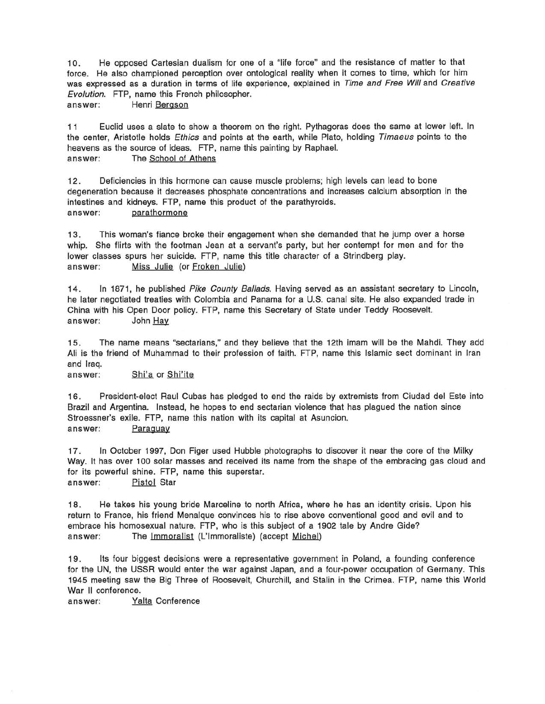10. He opposed Cartesian dualism for one of a "life force" and the resistance of matter to that force. He also championed perception over ontological reality when it comes to time, which for him was expressed as a duration in terms of life experience, explained in Time and Free Will and Creative Evolution. FTP, name this French philosopher.

answer: Henri Bergson

11 Euclid uses a slate to show a theorem on the right. Pythagoras does the same at lower left. In the center, Aristotle holds Ethics and points at the earth, while Plato, holding Timaeus points to the heavens as the source of ideas. FTP, name this painting by Raphael. answer: The School of Athens

12. Deficiencies in this hormone can cause muscle problems; high levels can lead to bone degeneration because it decreases phosphate concentrations and increases calcium absorption in the intestines and kidneys. FTP, name this product of the parathyroids. answer: parathormone

13. This woman's fiance broke their engagement when she demanded that he jump over a horse whip. She flirts with the footman Jean at a servant's party, but her contempt for men and for the lower classes spurs her suicide. FTP, name this title character of a Strindberg play. answer: Miss Julie (or Froken Julie)

14. In 1871, he published Pike County Ballads. Having served as an assistant secretary to Lincoln, he later negotiated treaties with Colombia and Panama for a U.S. canal site. He also expanded trade in China with his Open Door policy. FTP, name this Secretary of State under Teddy Roosevelt. answer: John Hay

1 5. The name means "sectarians," and they believe that the 12th imam will be the Mahdi. They add Ali is the friend of Muhammad to their profession of faith. FTP, name this Islamic sect dominant in Iran and Iraq.

answer: Shi'a or Shi'ite

1 6. President-elect Raul Cubas has pledged to end the raids by extremists from Ciudad del Este into Brazil and Argentina. Instead, he hopes to end sectarian violence that has plagued the nation since Stroessner's exile. FTP, name this nation with its capital at Asuncion. answer: Paraguay

17. In October 1997, Don Figer used Hubble photographs to discover it near the core of the Milky Way. It has over 100 solar masses and received its name from the shape of the embracing gas cloud and for its powerful shine. FTP, name this superstar. answer: Pistol Star

1 8. He takes his young bride Marceline to north Africa, where he has an identity crisis. Upon his return to France, his friend Menalque convinces his to rise above conventional good and evil and to embrace his homosexual nature. FTP, who is this subject of a 1902 tale by Andre Gide? answer: The Immoralist (L'lmmoraliste) (accept Michel)

19. Its four biggest decisions were a representative government in Poland, a founding conference for the UN, the USSR would enter the war against Japan, and a four-power occupation of Germany. This 1945 meeting saw the Big Three of Roosevelt, Churchill, and Stalin in the Crimea. FTP, name this World War II conference.

answer: Yalta Conference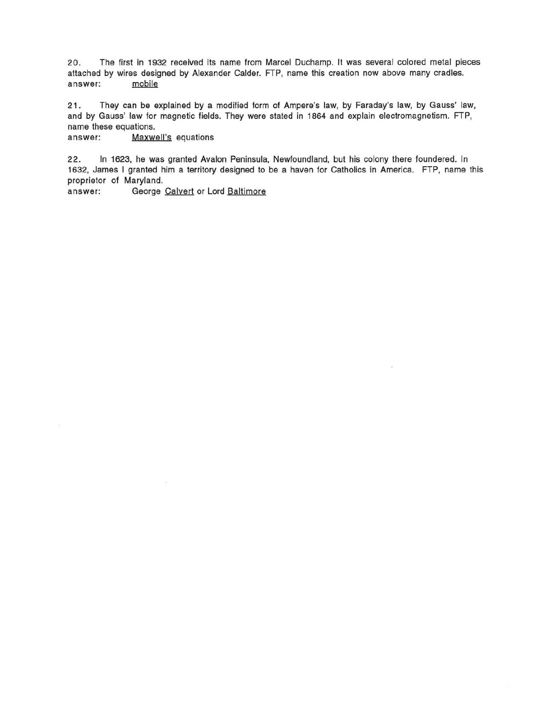20. The first in 1932 received its name from Marcel Duchamp. It was several colored metal pieces attached by wires designed by Alexander Calder. FTP, name this creation now above many cradles.<br>answer: mobile answer:

21 . They can be explained by a modified form of Ampere's law, by Faraday's law, by Gauss' law, and by Gauss' law for magnetic fields. They were stated in 1864 and explain electromagnetism. FTP, name these equations.

answer: Maxwell's equations

22. In 1623, he was granted Avalon Peninsula, Newfoundland, but his colony there foundered. In 1632, James I granted him a territory designed to be a haven for Catholics in America. FTP, name this proprietor of Maryland.

answer: George Calvert or Lord Baltimore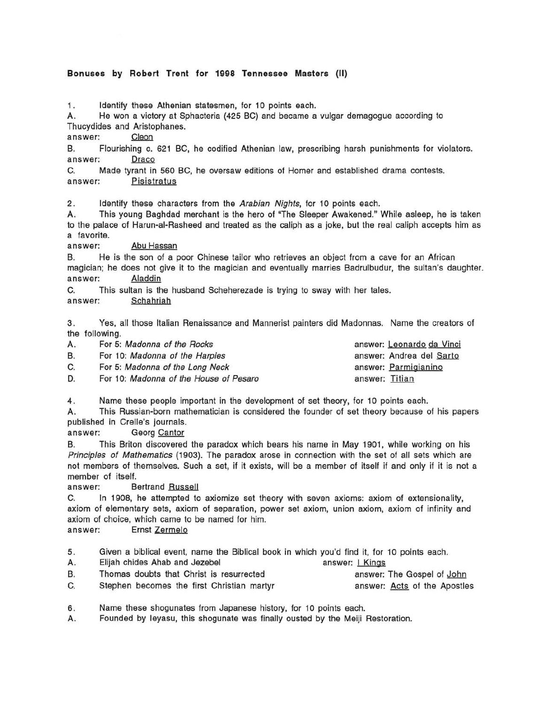## **Bonuses by Robert Trent for 1998 Tennessee Masters (II)**

1. Identify these Athenian statesmen, for 10 points each.

A. He won a victory at Sphacteria (425 BC) and became a vulgar demagogue according to

Thucydides and Aristophanes. answer: ~

B. Flourishing c. 621 BC, he codified Athenian law, prescribing harsh punishments for violators. answer: Draco

C. Made tyrant in 560 BC, he oversaw editions of Homer and established drama contests. answer: Pisjstratus

2. Identify these characters from the Arabian Nights, for 10 points each.

A. This young Baghdad merchant is the hero of "The Sleeper Awakened." While asleep, he is taken to the palace of Harun-al-Rasheed and treated as the caliph as a joke, but the real caliph accepts him as a favorite.

answer: Abu Hassan

B. He is the son of a poor Chinese tailor who retrieves an object from a cave for an African magician; he does not give it to the magician and eventually marries Badrulbudur, the sultan's daughter. answer: Aladdin

C. This sultan is the husband Scheherezade is trying to sway with her tales. answer: Schahrjah

3. Yes, all those Italian Renaissance and Mannerist painters did Madonnas. Name the creators of the following.

| А. | For 5: Madonna of the Rocks            | answer: Leonardo da Vinci |
|----|----------------------------------------|---------------------------|
| В. | For 10: Madonna of the Harpies         | answer: Andrea del Sarto  |
| C. | For 5: Madonna of the Long Neck        | answer: Parmigianino      |
| D. | For 10: Madonna of the House of Pesaro | answer: Titian            |

4. Name these people important in the development of set theory, for 10 points each.

A. This Russian-born mathematician is considered the founder of set theory because of his papers published in Crelle's journals.

answer: Georg Cantor

B. This Briton discovered the paradox which bears his name in May 1901, while working on his Principles of Mathematics (1903). The paradox arose in connection with the set of all sets which are not members of themselves. Such a set, if it exists, will be a member of itself if and only if it is not a member of itself.

answer: Bertrand Russell

C. In 1908, he attempted to axiomize set theory with seven axioms: axiom of extensionality, axiom of elementary sets, axiom of separation, power set axiom, union axiom, axiom of infinity and axiom of choice, which came to be named for him.

answer: Ernst Zermelo

- 5. Given a biblical event, name the Biblical book in which you'd find it, for 10 points each.
- A. Elijah chides Ahab and Jezebel answer: I Kings B. Thomas doubts that Christ is resurrected answer: The Gospel of John C. Stephen becomes the first Christian martyr answer: Acts of the Apostles
- 6. Name these shogunates from Japanese history, for 10 points each.

A. Founded by leyasu, this shogunate was finally ousted by the Meiji Restoration.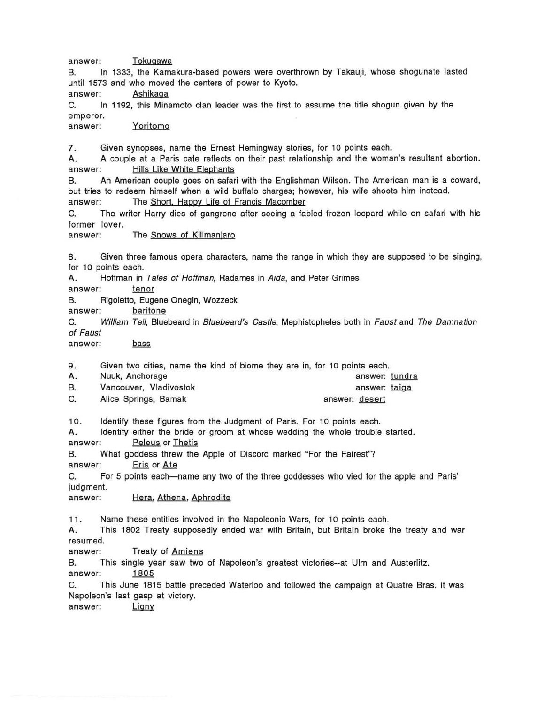answer: Tokugawa

B. In 1333, the Kamakura-based powers were overthrown by Takauji, whose shogunate lasted until 1573 and who moved the centers of power to Kyoto.

answer: Ashikaga

C. In 1192, this Minamoto clan leader was the first to assume the title shogun given by the emperor.

answer: Yoritomo

7 . Given synopses, name the Ernest Hemingway stories, for 10 points each.

A. A couple at a Paris cafe reflects on their past relationship and the woman's resultant abortion. answer: Hills Like White Elephants

B. An American couple goes on safari with the Englishman Wilson. The American man is a coward, but tries to redeem himself when a wild buffalo charges; however, his wife shoots him instead. answer: The Short. Happy Life of Francis Macomber

C. The writer Harry dies of gangrene after seeing a fabled frozen leopard while on safari with his former lover.

answer: The Snows of Kilimanjaro

8. Given three famous opera characters, name the range in which they are supposed to be singing, for 10 points each.

A. Hoffman in Tales of Hoffman, Radames in Aida, and Peter Grimes

answer: tenor

B. Rigoletto, Eugene Onegin, Wozzeck

answer: baritone

C. William Tell, Bluebeard in Bluebeard's Castle, Mephistopheles both in Faust and The Damnation of Faust

answer: bass

9. Given two cities, name the kind of biome they are in, for 10 points each.

| А. | Nuuk, Anchorage        | "我们的时候,你们也不能不能不能不能不能不能不能不能不能不能不能不能不能。""我们我们的事情,我们就是我们的事情,我们也不能不能不能不能不能不能不能不能不能不能<br>answer: tundra |  |
|----|------------------------|----------------------------------------------------------------------------------------------------|--|
| В. | Vancouver, Vladivostok | answer: taiga                                                                                      |  |
| C. | Alice Springs, Bamak   | answer: desert                                                                                     |  |

10. Identify these figures from the Judgment of Paris. For 10 points each.

A. Identify either the bride or groom at whose wedding the whole trouble started.<br>answer: Peleus or Thetis

B. What goddess threw the Apple of Discord marked "For the Fairest"?

answer: Eris or Ate

C. For 5 points each-name any two of the three goddesses who vied for the apple and Paris' judgment.

answer: Hera, Athena, Aphrodite

11 . Name these entities involved in the Napoleonic Wars, for 10 points each.

A. This 1802 Treaty supposedly ended war with Britain, but Britain broke the treaty and war resumed.

answer: Treaty of Amiens

B. This single year saw two of Napoleon's greatest victories--at Ulm and Austerlitz. answer: 1805

C. This June 1815 battle preceded Waterloo and followed the campaign at Quatre Bras. it was Napoleon's last gasp at victory.<br>answer: <u>Ligny</u>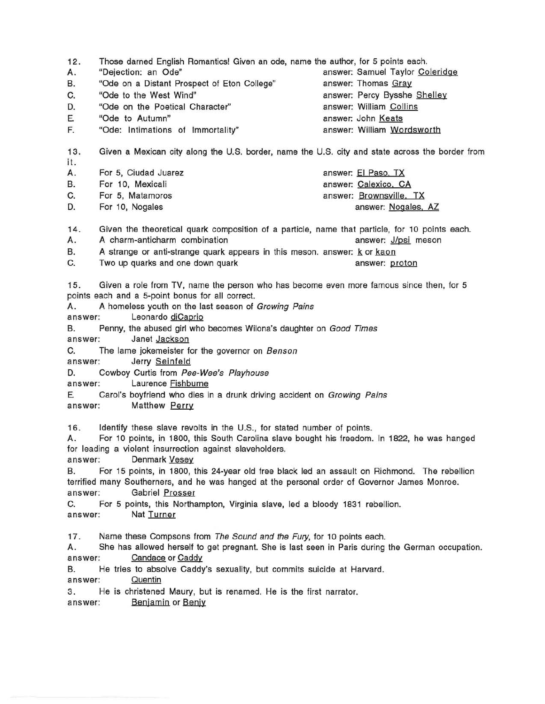12. Those darned English Romantics! Given an ode, name the author, for 5 points each. A. "Dejection: an Ode" answer: Samuel Taylor Coleridge B. "Ode on a Distant Prospect of Eton College" answer: Thomas Gray C. "Ode to the West Wind" answer: Percy Bysshe Shelley D. "Ode on the Poetical Character" answer: William Collins E F. "Ode to Autumn" "Ode: Intimations of Immortality" answer: John Keats answer: William Wordsworth 13. Given a Mexican city along the U.S. border, name the U.S. city and state across the border from it. A. B. C. D. For 5, Ciudad Juarez For 10, Mexicali For 5, Matamoros For 10, Nogales answer: EI paso. TX answer: Calexico. CA answer: Brownsville. TX answer: Nogales, AZ 14. Given the theoretical quark composition of a particle, name that particle, for 10 points each. A. A charm-anticharm combination answer: J/psi meson B. A strange or anti-strange quark appears in this meson, answer: k or kaon C. Two up quarks and one down quark and the state of the same variable control of the state of the state of the same variable control of the state of the state of the state of the state of the state of the state of the sta 15. Given a role from TV, name the person who has become even more famous since then, for 5 points each and a 5-point bonus for all correct. A. A homeless youth on the last season of Growing Pains answer: Leonardo diCaprio B. Penny, the abused girl who becomes Wilona's daughter on Good Times answer: Janet Jackson C. The lame jokemeister for the governor on Benson answer: Jerry Seinfeld D. Cowboy Curtis from Pee-Wee's Playhouse answer: Laurence Fishburne E Carol's boyfriend who dies in a drunk driving accident on Growing Pains answer: Matthew Perry 16. Identify these slave revolts in the U.S., for stated number of points. A. For 10 points, in 1800, this South Carolina slave bought his freedom. In 1822, he was hanged for leading a violent insurrection against slaveholders. answer: Denmark Vesey B. For 15 points, in 1800, this 24-year old free black led an assault on Richmond. The rebellion terrified many Southerners, and he was hanged at the personal order of Governor James Monroe. answer: Gabriel Prosser C. For 5 points, this Northampton, Virginia slave, led a bloody 1831 rebellion. answer: Nat Turner 17. Name these Compsons from The Sound and the Fury, for 10 points each.

A. She has allowed herself to get pregnant. She is last seen in Paris during the German occupation. answer: Candace or Caddy

B. He tries to absolve Caddy's sexuality, but commits suicide at Harvard. answer: Quentin

3. He is christened Maury, but is renamed. He is the first narrator.<br>answer: <u>Benjamin</u> or <u>Benjy</u>